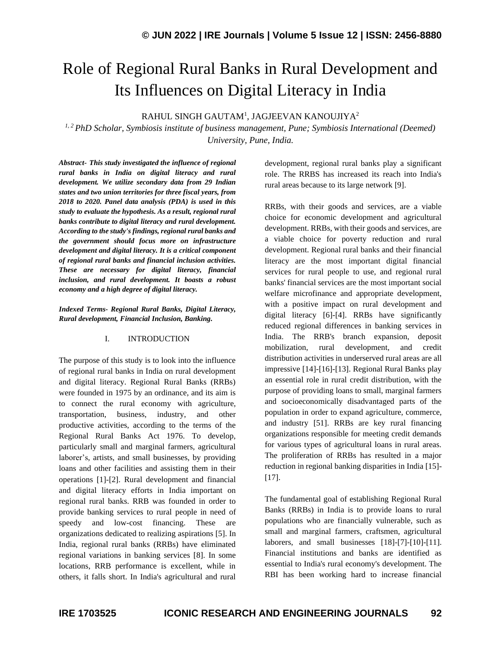# Role of Regional Rural Banks in Rural Development and Its Influences on Digital Literacy in India

RAHUL SINGH GAUTAM<sup>1</sup>, JAGJEEVAN KANOUJIYA $^2$ 

*1, 2 PhD Scholar, Symbiosis institute of business management, Pune; Symbiosis International (Deemed) University, Pune, India.*

*Abstract- This study investigated the influence of regional rural banks in India on digital literacy and rural development. We utilize secondary data from 29 Indian states and two union territories for three fiscal years, from 2018 to 2020. Panel data analysis (PDA) is used in this study to evaluate the hypothesis. As a result, regional rural banks contribute to digital literacy and rural development. According to the study's findings, regional rural banks and the government should focus more on infrastructure development and digital literacy. It is a critical component of regional rural banks and financial inclusion activities. These are necessary for digital literacy, financial inclusion, and rural development. It boasts a robust economy and a high degree of digital literacy.*

*Indexed Terms- Regional Rural Banks, Digital Literacy, Rural development, Financial Inclusion, Banking.*

### I. INTRODUCTION

The purpose of this study is to look into the influence of regional rural banks in India on rural development and digital literacy. Regional Rural Banks (RRBs) were founded in 1975 by an ordinance, and its aim is to connect the rural economy with agriculture, transportation, business, industry, and other productive activities, according to the terms of the Regional Rural Banks Act 1976. To develop, particularly small and marginal farmers, agricultural laborer's, artists, and small businesses, by providing loans and other facilities and assisting them in their operations [1]-[2]. Rural development and financial and digital literacy efforts in India important on regional rural banks. RRB was founded in order to provide banking services to rural people in need of speedy and low-cost financing. These are organizations dedicated to realizing aspirations [5]. In India, regional rural banks (RRBs) have eliminated regional variations in banking services [8]. In some locations, RRB performance is excellent, while in others, it falls short. In India's agricultural and rural development, regional rural banks play a significant role. The RRBS has increased its reach into India's rural areas because to its large network [9].

RRBs, with their goods and services, are a viable choice for economic development and agricultural development. RRBs, with their goods and services, are a viable choice for poverty reduction and rural development. Regional rural banks and their financial literacy are the most important digital financial services for rural people to use, and regional rural banks' financial services are the most important social welfare microfinance and appropriate development, with a positive impact on rural development and digital literacy [6]-[4]. RRBs have significantly reduced regional differences in banking services in India. The RRB's branch expansion, deposit mobilization, rural development, and credit distribution activities in underserved rural areas are all impressive [14]-[16]-[13]. Regional Rural Banks play an essential role in rural credit distribution, with the purpose of providing loans to small, marginal farmers and socioeconomically disadvantaged parts of the population in order to expand agriculture, commerce, and industry [51]. RRBs are key rural financing organizations responsible for meeting credit demands for various types of agricultural loans in rural areas. The proliferation of RRBs has resulted in a major reduction in regional banking disparities in India [15]- [17].

The fundamental goal of establishing Regional Rural Banks (RRBs) in India is to provide loans to rural populations who are financially vulnerable, such as small and marginal farmers, craftsmen, agricultural laborers, and small businesses [18]-[7]-[10]-[11]. Financial institutions and banks are identified as essential to India's rural economy's development. The RBI has been working hard to increase financial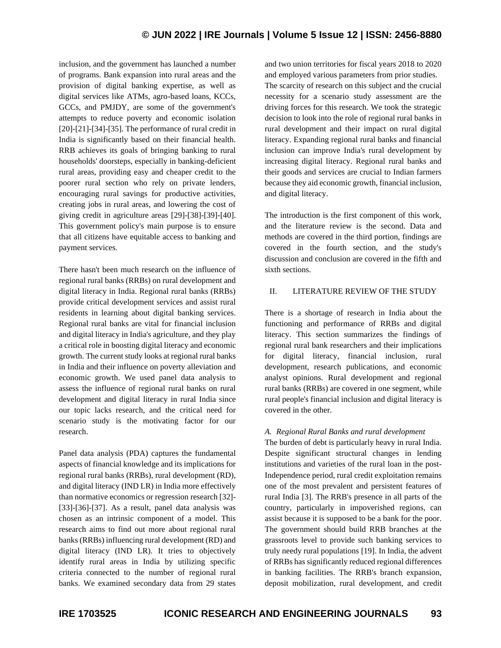inclusion, and the government has launched a number of programs. Bank expansion into rural areas and the provision of digital banking expertise, as well as digital services like ATMs, agro-based loans, KCCs, GCCs, and PMJDY, are some of the government's attempts to reduce poverty and economic isolation  $[20]-[21]-[34]-[35]$ . The performance of rural credit in India is significantly based on their financial health. RRB achieves its goals of bringing banking to rural households' doorsteps, especially in banking-deficient rural areas, providing easy and cheaper credit to the poorer rural section who rely on private lenders, encouraging rural savings for productive activities, creating jobs in rural areas, and lowering the cost of giving credit in agriculture areas [29]-[38]-[39]-[40]. This government policy's main purpose is to ensure that all citizens have equitable access to banking and payment services.

There hasn't been much research on the influence of regional rural banks (RRBs) on rural development and digital literacy in India. Regional rural banks (RRBs) provide critical development services and assist rural residents in learning about digital banking services. Regional rural banks are vital for financial inclusion and digital literacy in India's agriculture, and they play a critical role in boosting digital literacy and economic growth. The current study looks at regional rural banks in India and their influence on poverty alleviation and economic growth. We used panel data analysis to assess the influence of regional rural banks on rural development and digital literacy in rural India since our topic lacks research, and the critical need for scenario study is the motivating factor for our research.

Panel data analysis (PDA) captures the fundamental aspects of financial knowledge and its implications for regional rural banks (RRBs), rural development (RD), and digital literacy (IND LR) in India more effectively than normative economics or regression research [32]- [33]-[36]-[37]. As a result, panel data analysis was chosen as an intrinsic component of a model. This research aims to find out more about regional rural banks (RRBs) influencing rural development (RD) and digital literacy (IND LR). It tries to objectively identify rural areas in India by utilizing specific criteria connected to the number of regional rural banks. We examined secondary data from 29 states

and two union territories for fiscal years 2018 to 2020 and employed various parameters from prior studies. The scarcity of research on this subject and the crucial necessity for a scenario study assessment are the driving forces for this research. We took the strategic decision to look into the role of regional rural banks in rural development and their impact on rural digital literacy. Expanding regional rural banks and financial inclusion can improve India's rural development by

increasing digital literacy. Regional rural banks and their goods and services are crucial to Indian farmers because they aid economic growth, financial inclusion, and digital literacy.

The introduction is the first component of this work, and the literature review is the second. Data and methods are covered in the third portion, findings are covered in the fourth section, and the study's discussion and conclusion are covered in the fifth and sixth sections.

## II. LITERATURE REVIEW OF THE STUDY

There is a shortage of research in India about the functioning and performance of RRBs and digital literacy. This section summarizes the findings of regional rural bank researchers and their implications for digital literacy, financial inclusion, rural development, research publications, and economic analyst opinions. Rural development and regional rural banks (RRBs) are covered in one segment, while rural people's financial inclusion and digital literacy is covered in the other.

## *A. Regional Rural Banks and rural development*

The burden of debt is particularly heavy in rural India. Despite significant structural changes in lending institutions and varieties of the rural loan in the post-Independence period, rural credit exploitation remains one of the most prevalent and persistent features of rural India [3]. The RRB's presence in all parts of the country, particularly in impoverished regions, can assist because it is supposed to be a bank for the poor. The government should build RRB branches at the grassroots level to provide such banking services to truly needy rural populations [19]. In India, the advent of RRBs has significantly reduced regional differences in banking facilities. The RRB's branch expansion, deposit mobilization, rural development, and credit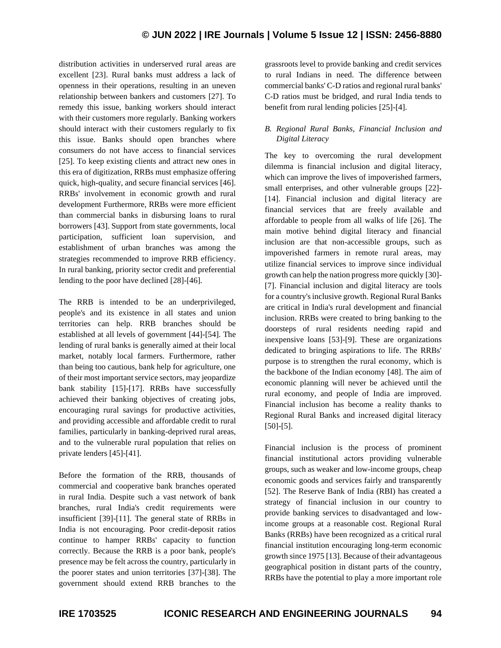distribution activities in underserved rural areas are excellent [23]. Rural banks must address a lack of openness in their operations, resulting in an uneven relationship between bankers and customers [27]. To remedy this issue, banking workers should interact with their customers more regularly. Banking workers should interact with their customers regularly to fix this issue. Banks should open branches where consumers do not have access to financial services [25]. To keep existing clients and attract new ones in this era of digitization, RRBs must emphasize offering quick, high-quality, and secure financial services [46]. RRBs' involvement in economic growth and rural development Furthermore, RRBs were more efficient than commercial banks in disbursing loans to rural borrowers [43]. Support from state governments, local participation, sufficient loan supervision, and establishment of urban branches was among the strategies recommended to improve RRB efficiency. In rural banking, priority sector credit and preferential lending to the poor have declined [28]-[46].

The RRB is intended to be an underprivileged, people's and its existence in all states and union territories can help. RRB branches should be established at all levels of government [44]-[54]. The lending of rural banks is generally aimed at their local market, notably local farmers. Furthermore, rather than being too cautious, bank help for agriculture, one of their most important service sectors, may jeopardize bank stability [15]-[17]. RRBs have successfully achieved their banking objectives of creating jobs, encouraging rural savings for productive activities, and providing accessible and affordable credit to rural families, particularly in banking-deprived rural areas, and to the vulnerable rural population that relies on private lenders [45]-[41].

Before the formation of the RRB, thousands of commercial and cooperative bank branches operated in rural India. Despite such a vast network of bank branches, rural India's credit requirements were insufficient [39]-[11]. The general state of RRBs in India is not encouraging. Poor credit-deposit ratios continue to hamper RRBs' capacity to function correctly. Because the RRB is a poor bank, people's presence may be felt across the country, particularly in the poorer states and union territories [37]-[38]. The government should extend RRB branches to the

grassroots level to provide banking and credit services to rural Indians in need. The difference between commercial banks' C-D ratios and regional rural banks' C-D ratios must be bridged, and rural India tends to benefit from rural lending policies [25]-[4].

## *B. Regional Rural Banks, Financial Inclusion and Digital Literacy*

The key to overcoming the rural development dilemma is financial inclusion and digital literacy, which can improve the lives of impoverished farmers, small enterprises, and other vulnerable groups [22]- [14]. Financial inclusion and digital literacy are financial services that are freely available and affordable to people from all walks of life [26]. The main motive behind digital literacy and financial inclusion are that non-accessible groups, such as impoverished farmers in remote rural areas, may utilize financial services to improve since individual growth can help the nation progress more quickly [30]- [7]. Financial inclusion and digital literacy are tools for a country's inclusive growth. Regional Rural Banks are critical in India's rural development and financial inclusion. RRBs were created to bring banking to the doorsteps of rural residents needing rapid and inexpensive loans [53]-[9]. These are organizations dedicated to bringing aspirations to life. The RRBs' purpose is to strengthen the rural economy, which is the backbone of the Indian economy [48]. The aim of economic planning will never be achieved until the rural economy, and people of India are improved. Financial inclusion has become a reality thanks to Regional Rural Banks and increased digital literacy [50]-[5].

Financial inclusion is the process of prominent financial institutional actors providing vulnerable groups, such as weaker and low-income groups, cheap economic goods and services fairly and transparently [52]. The Reserve Bank of India (RBI) has created a strategy of financial inclusion in our country to provide banking services to disadvantaged and lowincome groups at a reasonable cost. Regional Rural Banks (RRBs) have been recognized as a critical rural financial institution encouraging long-term economic growth since 1975 [13]. Because of their advantageous geographical position in distant parts of the country, RRBs have the potential to play a more important role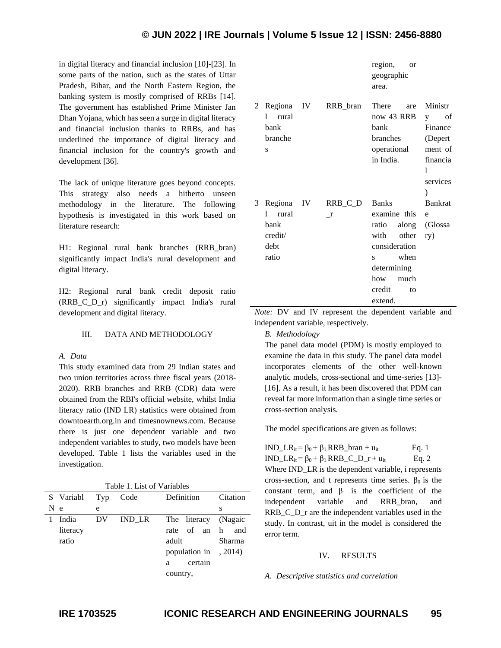in digital literacy and financial inclusion [10]-[23]. In some parts of the nation, such as the states of Uttar Pradesh, Bihar, and the North Eastern Region, the banking system is mostly comprised of RRBs [14]. The government has established Prime Minister Jan Dhan Yojana, which has seen a surge in digital literacy and financial inclusion thanks to RRBs, and has underlined the importance of digital literacy and financial inclusion for the country's growth and development [36].

The lack of unique literature goes beyond concepts. This strategy also needs a hitherto unseen methodology in the literature. The following hypothesis is investigated in this work based on literature research:

H1: Regional rural bank branches (RRB\_bran) significantly impact India's rural development and digital literacy.

H2: Regional rural bank credit deposit ratio (RRB\_C\_D\_r) significantly impact India's rural development and digital literacy.

## III. DATA AND METHODOLOGY

#### *A. Data*

This study examined data from 29 Indian states and two union territories across three fiscal years (2018- 2020). RRB branches and RRB (CDR) data were obtained from the RBI's official website, whilst India literacy ratio (IND LR) statistics were obtained from downtoearth.org.in and timesnownews.com. Because there is just one dependent variable and two independent variables to study, two models have been developed. Table 1 lists the variables used in the investigation.

| S Variabl | Typ | Code   | Definition            | Citation  |
|-----------|-----|--------|-----------------------|-----------|
| N e       | e   |        |                       | S         |
| India     | DV  | IND LR | The literacy (Nagaic  |           |
| literacy  |     |        | rate of an            | h.<br>and |
| ratio     |     |        | adult                 | Sharma    |
|           |     |        | population in , 2014) |           |
|           |     |        | certain<br>a          |           |
|           |     |        | country,              |           |
|           |     |        |                       |           |

|   |                                                      |  |                     | region,<br><sub>or</sub> |                |  |  |
|---|------------------------------------------------------|--|---------------------|--------------------------|----------------|--|--|
|   |                                                      |  |                     | geographic               |                |  |  |
|   |                                                      |  |                     | area.                    |                |  |  |
|   |                                                      |  |                     |                          |                |  |  |
| 2 |                                                      |  | Regiona IV RRB_bran | There<br>are             | Ministr        |  |  |
|   | rural<br>1                                           |  |                     | now 43 RRB               | οf<br>V        |  |  |
|   | bank                                                 |  |                     | bank                     | Finance        |  |  |
|   | branche                                              |  |                     | branches                 | (Depert        |  |  |
|   | S                                                    |  |                     | operational              | ment of        |  |  |
|   |                                                      |  |                     | in India.                | financia       |  |  |
|   |                                                      |  |                     |                          | 1              |  |  |
|   |                                                      |  |                     |                          | services       |  |  |
|   |                                                      |  |                     |                          | $\mathcal{E}$  |  |  |
| 3 | Regiona IV                                           |  | $RRB_C_D$           | <b>Banks</b>             | <b>Bankrat</b> |  |  |
|   | rural<br>1                                           |  | <sup>r</sup>        | examine this             | e              |  |  |
|   | bank                                                 |  |                     | ratio along (Glossa      |                |  |  |
|   | credit/                                              |  |                     | with other               | ry)            |  |  |
|   | debt                                                 |  |                     | consideration            |                |  |  |
|   | ratio                                                |  |                     | s when                   |                |  |  |
|   |                                                      |  |                     | determining              |                |  |  |
|   |                                                      |  |                     | how<br>much              |                |  |  |
|   |                                                      |  |                     | credit<br>to             |                |  |  |
|   |                                                      |  |                     | extend.                  |                |  |  |
|   | Note: DV and IV represent the dependent variable and |  |                     |                          |                |  |  |

independent variable, respectively.

*B. Methodology*

The panel data model (PDM) is mostly employed to examine the data in this study. The panel data model incorporates elements of the other well-known analytic models, cross-sectional and time-series [13]- [16]. As a result, it has been discovered that PDM can reveal far more information than a single time series or cross-section analysis.

The model specifications are given as follows:

IND\_LR<sub>it</sub> =  $\beta_0$  +  $\beta_1$  RRB\_bran + u<sub>it</sub> Eq. 1 IND\_LR<sub>it</sub> =  $\beta_0$  +  $\beta_1$  RRB\_C\_D\_r + u<sub>it</sub> Eq. 2 Where IND LR is the dependent variable, i represents cross-section, and t represents time series.  $\beta_0$  is the constant term, and  $\beta_1$  is the coefficient of the independent variable and RRB\_bran, and RRB\_C\_D\_r are the independent variables used in the study. In contrast, uit in the model is considered the error term.

## IV. RESULTS

*A. Descriptive statistics and correlation*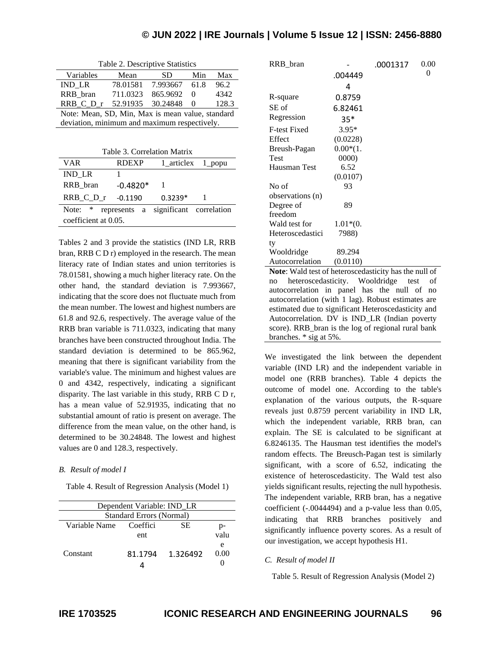| Table 2. Descriptive Statistics                  |          |               |          |       |  |  |  |
|--------------------------------------------------|----------|---------------|----------|-------|--|--|--|
| Variables                                        | Mean     | SD.           | Min      | Max   |  |  |  |
| <b>IND LR</b>                                    | 78.01581 | 7.993667 61.8 |          | 96.2  |  |  |  |
| RRB bran                                         | 711.0323 | 865.9692      | 0        | 4342  |  |  |  |
| RRB C D r                                        | 52.91935 | 30.24848      | $\Omega$ | 128.3 |  |  |  |
| Note: Mean, SD, Min, Max is mean value, standard |          |               |          |       |  |  |  |
| deviation, minimum and maximum respectively.     |          |               |          |       |  |  |  |

| Table 3. Correlation Matrix |              |                                      |                   |  |  |  |  |
|-----------------------------|--------------|--------------------------------------|-------------------|--|--|--|--|
| VAR                         | <b>RDEXP</b> |                                      | 1 articlex 1 popu |  |  |  |  |
| <b>IND LR</b>               |              |                                      |                   |  |  |  |  |
| RRB bran                    | $-0.4820*$   |                                      |                   |  |  |  |  |
| RRB C D r -0.1190           |              | $0.3239*$                            |                   |  |  |  |  |
| Note: $*$                   |              | represents a significant correlation |                   |  |  |  |  |
| coefficient at 0.05.        |              |                                      |                   |  |  |  |  |

Tables 2 and 3 provide the statistics (IND LR, RRB bran, RRB C D r) employed in the research. The mean literacy rate of Indian states and union territories is 78.01581, showing a much higher literacy rate. On the other hand, the standard deviation is 7.993667, indicating that the score does not fluctuate much from the mean number. The lowest and highest numbers are 61.8 and 92.6, respectively. The average value of the RRB bran variable is 711.0323, indicating that many branches have been constructed throughout India. The standard deviation is determined to be 865.962, meaning that there is significant variability from the variable's value. The minimum and highest values are 0 and 4342, respectively, indicating a significant disparity. The last variable in this study, RRB C D r, has a mean value of 52.91935, indicating that no substantial amount of ratio is present on average. The difference from the mean value, on the other hand, is determined to be 30.24848. The lowest and highest values are 0 and 128.3, respectively.

## *B. Result of model I*

Table 4. Result of Regression Analysis (Model 1)

| Dependent Variable: IND LR |          |          |      |  |  |
|----------------------------|----------|----------|------|--|--|
| Standard Errors (Normal)   |          |          |      |  |  |
| Variable Name              | Coeffici | SE.      | p-   |  |  |
|                            | ent      |          | valu |  |  |
|                            |          |          | e    |  |  |
| Constant                   | 81.1794  | 1.326492 | 0.00 |  |  |
|                            |          |          |      |  |  |
|                            |          |          |      |  |  |

| RRB bran                                               |            | .0001317 | 0.00 |  |  |
|--------------------------------------------------------|------------|----------|------|--|--|
|                                                        | .004449    |          | 0    |  |  |
|                                                        | 4          |          |      |  |  |
| R-square                                               | 0.8759     |          |      |  |  |
| SE of                                                  | 6.82461    |          |      |  |  |
| Regression                                             | $35*$      |          |      |  |  |
| <b>F-test Fixed</b>                                    | $3.95*$    |          |      |  |  |
| Effect                                                 | (0.0228)   |          |      |  |  |
| Breush-Pagan                                           | $0.00*(1.$ |          |      |  |  |
| Test                                                   | 0000       |          |      |  |  |
| Hausman Test                                           | 6.52       |          |      |  |  |
|                                                        | (0.0107)   |          |      |  |  |
| No of                                                  | 93         |          |      |  |  |
| observations (n)                                       |            |          |      |  |  |
| Degree of                                              | 89         |          |      |  |  |
| freedom                                                |            |          |      |  |  |
| Wald test for                                          | $1.01*(0.$ |          |      |  |  |
| Heteroscedastici                                       | 7988)      |          |      |  |  |
| ty                                                     |            |          |      |  |  |
| Wooldridge                                             | 89.294     |          |      |  |  |
| Autocorrelation                                        | (0.0110)   |          |      |  |  |
| Note: Weld toot of betarescoolecticity has the null of |            |          |      |  |  |

**Note**: Wald test of heteroscedasticity has the null of no heteroscedasticity. Wooldridge test of autocorrelation in panel has the null of no autocorrelation (with 1 lag). Robust estimates are estimated due to significant Heteroscedasticity and Autocorrelation. DV is IND\_LR (Indian poverty score). RRB\_bran is the log of regional rural bank branches. \* sig at 5%.

We investigated the link between the dependent variable (IND LR) and the independent variable in model one (RRB branches). Table 4 depicts the outcome of model one. According to the table's explanation of the various outputs, the R-square reveals just 0.8759 percent variability in IND LR, which the independent variable, RRB bran, can explain. The SE is calculated to be significant at 6.8246135. The Hausman test identifies the model's random effects. The Breusch-Pagan test is similarly significant, with a score of 6.52, indicating the existence of heteroscedasticity. The Wald test also yields significant results, rejecting the null hypothesis. The independent variable, RRB bran, has a negative coefficient (-.0044494) and a p-value less than 0.05, indicating that RRB branches positively and significantly influence poverty scores. As a result of our investigation, we accept hypothesis H1.

#### *C. Result of model II*

Table 5. Result of Regression Analysis (Model 2)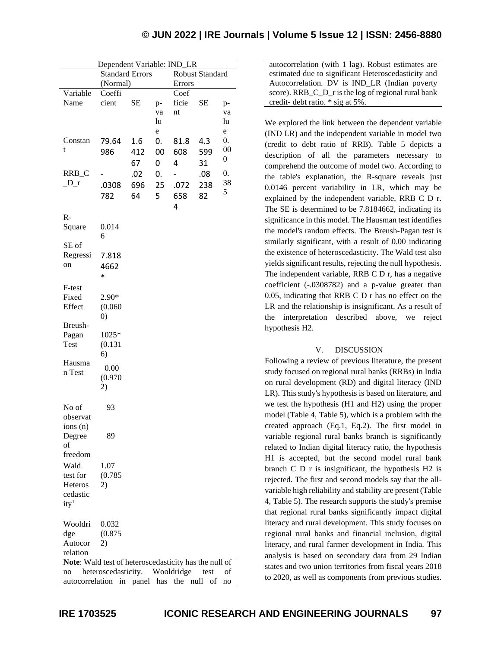| <b>Standard Errors</b><br><b>Robust Standard</b><br>(Normal)<br><b>Errors</b><br>Variable<br>Coeffi<br>Coef<br>Name<br><b>SE</b><br>cient<br>ficie<br>SЕ<br>$p-$<br>p-<br>nt<br>va<br>va<br>lu<br>lu<br>$\mathbf e$<br>e<br>0.<br>Constan<br>79.64<br>1.6<br>0.<br>81.8<br>4.3<br>$00\,$<br>t<br>986<br>608<br>412<br>00<br>599<br>0<br>67<br>4<br>0<br>31<br>RRB_C<br>0.<br>.02<br>0.<br>.08<br>38<br>$D_r$<br>696<br>25<br>.072<br>238<br>.0308<br>5<br>5<br>64<br>658<br>782<br>82<br>4<br>$R-$<br>Square<br>0.014<br>6<br>SE of<br>Regressi<br>7.818<br>on<br>4662<br>$\ast$<br>F-test<br>2.90*<br>Fixed<br>Effect<br>(0.060)<br>$\left( 0\right)$<br>Breush-<br>1025*<br>Pagan<br><b>Test</b><br>(0.131)<br>6)<br>Hausma<br>0.00<br>n Test<br>(0.970)<br>2)<br>No of<br>93<br>observat<br>ions (n)<br>89<br>Degree<br>of<br>freedom<br>Wald<br>1.07<br>(0.785)<br>test for<br><b>Heteros</b><br>2)<br>cedastic<br>ity <sup>1</sup><br>Wooldri<br>0.032<br>dge<br>(0.875)<br>Autocor<br>2)<br>relation |                                                       | Dependent Variable: IND_LR |  |  |  |  |  |  |
|------------------------------------------------------------------------------------------------------------------------------------------------------------------------------------------------------------------------------------------------------------------------------------------------------------------------------------------------------------------------------------------------------------------------------------------------------------------------------------------------------------------------------------------------------------------------------------------------------------------------------------------------------------------------------------------------------------------------------------------------------------------------------------------------------------------------------------------------------------------------------------------------------------------------------------------------------------------------------------------------------------|-------------------------------------------------------|----------------------------|--|--|--|--|--|--|
|                                                                                                                                                                                                                                                                                                                                                                                                                                                                                                                                                                                                                                                                                                                                                                                                                                                                                                                                                                                                            |                                                       |                            |  |  |  |  |  |  |
|                                                                                                                                                                                                                                                                                                                                                                                                                                                                                                                                                                                                                                                                                                                                                                                                                                                                                                                                                                                                            |                                                       |                            |  |  |  |  |  |  |
|                                                                                                                                                                                                                                                                                                                                                                                                                                                                                                                                                                                                                                                                                                                                                                                                                                                                                                                                                                                                            |                                                       |                            |  |  |  |  |  |  |
|                                                                                                                                                                                                                                                                                                                                                                                                                                                                                                                                                                                                                                                                                                                                                                                                                                                                                                                                                                                                            |                                                       |                            |  |  |  |  |  |  |
|                                                                                                                                                                                                                                                                                                                                                                                                                                                                                                                                                                                                                                                                                                                                                                                                                                                                                                                                                                                                            |                                                       |                            |  |  |  |  |  |  |
|                                                                                                                                                                                                                                                                                                                                                                                                                                                                                                                                                                                                                                                                                                                                                                                                                                                                                                                                                                                                            |                                                       |                            |  |  |  |  |  |  |
|                                                                                                                                                                                                                                                                                                                                                                                                                                                                                                                                                                                                                                                                                                                                                                                                                                                                                                                                                                                                            |                                                       |                            |  |  |  |  |  |  |
|                                                                                                                                                                                                                                                                                                                                                                                                                                                                                                                                                                                                                                                                                                                                                                                                                                                                                                                                                                                                            |                                                       |                            |  |  |  |  |  |  |
|                                                                                                                                                                                                                                                                                                                                                                                                                                                                                                                                                                                                                                                                                                                                                                                                                                                                                                                                                                                                            |                                                       |                            |  |  |  |  |  |  |
|                                                                                                                                                                                                                                                                                                                                                                                                                                                                                                                                                                                                                                                                                                                                                                                                                                                                                                                                                                                                            |                                                       |                            |  |  |  |  |  |  |
|                                                                                                                                                                                                                                                                                                                                                                                                                                                                                                                                                                                                                                                                                                                                                                                                                                                                                                                                                                                                            |                                                       |                            |  |  |  |  |  |  |
|                                                                                                                                                                                                                                                                                                                                                                                                                                                                                                                                                                                                                                                                                                                                                                                                                                                                                                                                                                                                            |                                                       |                            |  |  |  |  |  |  |
|                                                                                                                                                                                                                                                                                                                                                                                                                                                                                                                                                                                                                                                                                                                                                                                                                                                                                                                                                                                                            |                                                       |                            |  |  |  |  |  |  |
|                                                                                                                                                                                                                                                                                                                                                                                                                                                                                                                                                                                                                                                                                                                                                                                                                                                                                                                                                                                                            |                                                       |                            |  |  |  |  |  |  |
|                                                                                                                                                                                                                                                                                                                                                                                                                                                                                                                                                                                                                                                                                                                                                                                                                                                                                                                                                                                                            |                                                       |                            |  |  |  |  |  |  |
|                                                                                                                                                                                                                                                                                                                                                                                                                                                                                                                                                                                                                                                                                                                                                                                                                                                                                                                                                                                                            |                                                       |                            |  |  |  |  |  |  |
|                                                                                                                                                                                                                                                                                                                                                                                                                                                                                                                                                                                                                                                                                                                                                                                                                                                                                                                                                                                                            |                                                       |                            |  |  |  |  |  |  |
|                                                                                                                                                                                                                                                                                                                                                                                                                                                                                                                                                                                                                                                                                                                                                                                                                                                                                                                                                                                                            |                                                       |                            |  |  |  |  |  |  |
|                                                                                                                                                                                                                                                                                                                                                                                                                                                                                                                                                                                                                                                                                                                                                                                                                                                                                                                                                                                                            |                                                       |                            |  |  |  |  |  |  |
|                                                                                                                                                                                                                                                                                                                                                                                                                                                                                                                                                                                                                                                                                                                                                                                                                                                                                                                                                                                                            |                                                       |                            |  |  |  |  |  |  |
|                                                                                                                                                                                                                                                                                                                                                                                                                                                                                                                                                                                                                                                                                                                                                                                                                                                                                                                                                                                                            |                                                       |                            |  |  |  |  |  |  |
|                                                                                                                                                                                                                                                                                                                                                                                                                                                                                                                                                                                                                                                                                                                                                                                                                                                                                                                                                                                                            |                                                       |                            |  |  |  |  |  |  |
|                                                                                                                                                                                                                                                                                                                                                                                                                                                                                                                                                                                                                                                                                                                                                                                                                                                                                                                                                                                                            |                                                       |                            |  |  |  |  |  |  |
|                                                                                                                                                                                                                                                                                                                                                                                                                                                                                                                                                                                                                                                                                                                                                                                                                                                                                                                                                                                                            |                                                       |                            |  |  |  |  |  |  |
|                                                                                                                                                                                                                                                                                                                                                                                                                                                                                                                                                                                                                                                                                                                                                                                                                                                                                                                                                                                                            |                                                       |                            |  |  |  |  |  |  |
|                                                                                                                                                                                                                                                                                                                                                                                                                                                                                                                                                                                                                                                                                                                                                                                                                                                                                                                                                                                                            |                                                       |                            |  |  |  |  |  |  |
|                                                                                                                                                                                                                                                                                                                                                                                                                                                                                                                                                                                                                                                                                                                                                                                                                                                                                                                                                                                                            |                                                       |                            |  |  |  |  |  |  |
|                                                                                                                                                                                                                                                                                                                                                                                                                                                                                                                                                                                                                                                                                                                                                                                                                                                                                                                                                                                                            |                                                       |                            |  |  |  |  |  |  |
|                                                                                                                                                                                                                                                                                                                                                                                                                                                                                                                                                                                                                                                                                                                                                                                                                                                                                                                                                                                                            |                                                       |                            |  |  |  |  |  |  |
|                                                                                                                                                                                                                                                                                                                                                                                                                                                                                                                                                                                                                                                                                                                                                                                                                                                                                                                                                                                                            |                                                       |                            |  |  |  |  |  |  |
|                                                                                                                                                                                                                                                                                                                                                                                                                                                                                                                                                                                                                                                                                                                                                                                                                                                                                                                                                                                                            |                                                       |                            |  |  |  |  |  |  |
|                                                                                                                                                                                                                                                                                                                                                                                                                                                                                                                                                                                                                                                                                                                                                                                                                                                                                                                                                                                                            |                                                       |                            |  |  |  |  |  |  |
|                                                                                                                                                                                                                                                                                                                                                                                                                                                                                                                                                                                                                                                                                                                                                                                                                                                                                                                                                                                                            |                                                       |                            |  |  |  |  |  |  |
|                                                                                                                                                                                                                                                                                                                                                                                                                                                                                                                                                                                                                                                                                                                                                                                                                                                                                                                                                                                                            |                                                       |                            |  |  |  |  |  |  |
|                                                                                                                                                                                                                                                                                                                                                                                                                                                                                                                                                                                                                                                                                                                                                                                                                                                                                                                                                                                                            |                                                       |                            |  |  |  |  |  |  |
|                                                                                                                                                                                                                                                                                                                                                                                                                                                                                                                                                                                                                                                                                                                                                                                                                                                                                                                                                                                                            |                                                       |                            |  |  |  |  |  |  |
|                                                                                                                                                                                                                                                                                                                                                                                                                                                                                                                                                                                                                                                                                                                                                                                                                                                                                                                                                                                                            |                                                       |                            |  |  |  |  |  |  |
|                                                                                                                                                                                                                                                                                                                                                                                                                                                                                                                                                                                                                                                                                                                                                                                                                                                                                                                                                                                                            |                                                       |                            |  |  |  |  |  |  |
|                                                                                                                                                                                                                                                                                                                                                                                                                                                                                                                                                                                                                                                                                                                                                                                                                                                                                                                                                                                                            |                                                       |                            |  |  |  |  |  |  |
|                                                                                                                                                                                                                                                                                                                                                                                                                                                                                                                                                                                                                                                                                                                                                                                                                                                                                                                                                                                                            |                                                       |                            |  |  |  |  |  |  |
|                                                                                                                                                                                                                                                                                                                                                                                                                                                                                                                                                                                                                                                                                                                                                                                                                                                                                                                                                                                                            |                                                       |                            |  |  |  |  |  |  |
|                                                                                                                                                                                                                                                                                                                                                                                                                                                                                                                                                                                                                                                                                                                                                                                                                                                                                                                                                                                                            |                                                       |                            |  |  |  |  |  |  |
|                                                                                                                                                                                                                                                                                                                                                                                                                                                                                                                                                                                                                                                                                                                                                                                                                                                                                                                                                                                                            |                                                       |                            |  |  |  |  |  |  |
|                                                                                                                                                                                                                                                                                                                                                                                                                                                                                                                                                                                                                                                                                                                                                                                                                                                                                                                                                                                                            |                                                       |                            |  |  |  |  |  |  |
|                                                                                                                                                                                                                                                                                                                                                                                                                                                                                                                                                                                                                                                                                                                                                                                                                                                                                                                                                                                                            |                                                       |                            |  |  |  |  |  |  |
|                                                                                                                                                                                                                                                                                                                                                                                                                                                                                                                                                                                                                                                                                                                                                                                                                                                                                                                                                                                                            |                                                       |                            |  |  |  |  |  |  |
|                                                                                                                                                                                                                                                                                                                                                                                                                                                                                                                                                                                                                                                                                                                                                                                                                                                                                                                                                                                                            |                                                       |                            |  |  |  |  |  |  |
|                                                                                                                                                                                                                                                                                                                                                                                                                                                                                                                                                                                                                                                                                                                                                                                                                                                                                                                                                                                                            |                                                       |                            |  |  |  |  |  |  |
|                                                                                                                                                                                                                                                                                                                                                                                                                                                                                                                                                                                                                                                                                                                                                                                                                                                                                                                                                                                                            |                                                       |                            |  |  |  |  |  |  |
|                                                                                                                                                                                                                                                                                                                                                                                                                                                                                                                                                                                                                                                                                                                                                                                                                                                                                                                                                                                                            |                                                       |                            |  |  |  |  |  |  |
|                                                                                                                                                                                                                                                                                                                                                                                                                                                                                                                                                                                                                                                                                                                                                                                                                                                                                                                                                                                                            |                                                       |                            |  |  |  |  |  |  |
|                                                                                                                                                                                                                                                                                                                                                                                                                                                                                                                                                                                                                                                                                                                                                                                                                                                                                                                                                                                                            |                                                       |                            |  |  |  |  |  |  |
|                                                                                                                                                                                                                                                                                                                                                                                                                                                                                                                                                                                                                                                                                                                                                                                                                                                                                                                                                                                                            | Note: Wald test of heteroscedasticity has the null of |                            |  |  |  |  |  |  |

no heteroscedasticity. Wooldridge test of autocorrelation in panel has the null of no autocorrelation (with 1 lag). Robust estimates are estimated due to significant Heteroscedasticity and Autocorrelation. DV is IND\_LR (Indian poverty score). RRB C D r is the log of regional rural bank credit- debt ratio. \* sig at 5%.

We explored the link between the dependent variable (IND LR) and the independent variable in model two (credit to debt ratio of RRB). Table 5 depicts a description of all the parameters necessary to comprehend the outcome of model two. According to the table's explanation, the R-square reveals just 0.0146 percent variability in LR, which may be explained by the independent variable, RRB C D r. The SE is determined to be 7.8184662, indicating its significance in this model. The Hausman test identifies the model's random effects. The Breush-Pagan test is similarly significant, with a result of 0.00 indicating the existence of heteroscedasticity. The Wald test also yields significant results, rejecting the null hypothesis. The independent variable, RRB C D r, has a negative coefficient (-.0308782) and a p-value greater than 0.05, indicating that RRB C D r has no effect on the LR and the relationship is insignificant. As a result of the interpretation described above, we reject hypothesis H2.

## V. DISCUSSION

Following a review of previous literature, the present study focused on regional rural banks (RRBs) in India on rural development (RD) and digital literacy (IND LR). This study's hypothesis is based on literature, and we test the hypothesis (H1 and H2) using the proper model (Table 4, Table 5), which is a problem with the created approach (Eq.1, Eq.2). The first model in variable regional rural banks branch is significantly related to Indian digital literacy ratio, the hypothesis H1 is accepted, but the second model rural bank branch C D r is insignificant, the hypothesis H2 is rejected. The first and second models say that the allvariable high reliability and stability are present (Table 4, Table 5). The research supports the study's premise that regional rural banks significantly impact digital literacy and rural development. This study focuses on regional rural banks and financial inclusion, digital literacy, and rural farmer development in India. This analysis is based on secondary data from 29 Indian states and two union territories from fiscal years 2018 to 2020, as well as components from previous studies.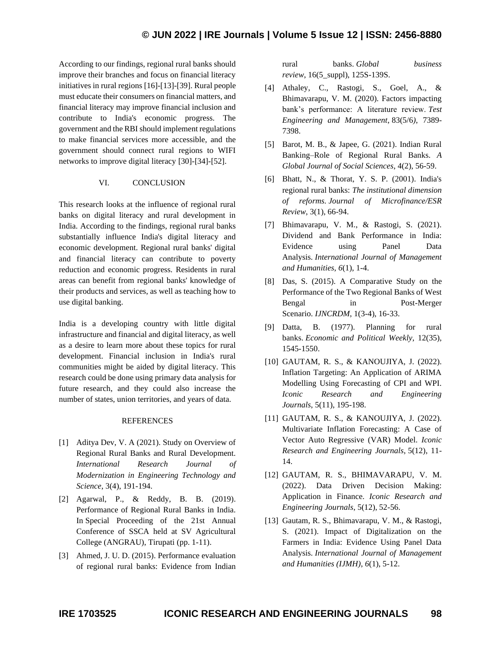According to our findings, regional rural banks should improve their branches and focus on financial literacy initiatives in rural regions [16]-[13]-[39]. Rural people must educate their consumers on financial matters, and financial literacy may improve financial inclusion and contribute to India's economic progress. The government and the RBI should implement regulations to make financial services more accessible, and the government should connect rural regions to WIFI networks to improve digital literacy [30]-[34]-[52].

#### VI. CONCLUSION

This research looks at the influence of regional rural banks on digital literacy and rural development in India. According to the findings, regional rural banks substantially influence India's digital literacy and economic development. Regional rural banks' digital and financial literacy can contribute to poverty reduction and economic progress. Residents in rural areas can benefit from regional banks' knowledge of their products and services, as well as teaching how to use digital banking.

India is a developing country with little digital infrastructure and financial and digital literacy, as well as a desire to learn more about these topics for rural development. Financial inclusion in India's rural communities might be aided by digital literacy. This research could be done using primary data analysis for future research, and they could also increase the number of states, union territories, and years of data.

#### **REFERENCES**

- [1] Aditya Dev, V. A (2021). Study on Overview of Regional Rural Banks and Rural Development. *International Research Journal of Modernization in Engineering Technology and Science*, 3(4), 191-194.
- [2] Agarwal, P., & Reddy, B. B. (2019). Performance of Regional Rural Banks in India. In Special Proceeding of the 21st Annual Conference of SSCA held at SV Agricultural College (ANGRAU), Tirupati (pp. 1-11).
- [3] Ahmed, J. U. D. (2015). Performance evaluation of regional rural banks: Evidence from Indian

rural banks. *Global business review*, 16(5\_suppl), 125S-139S.

- [4] Athaley, C., Rastogi, S., Goel, A., & Bhimavarapu, V. M. (2020). Factors impacting bank's performance: A literature review. *Test Engineering and Management*, 83(5/6*)*, 7389- 7398.
- [5] Barot, M. B., & Japee, G. (2021). Indian Rural Banking–Role of Regional Rural Banks. *A Global Journal of Social Sciences*, 4(2), 56-59.
- [6] Bhatt, N., & Thorat, Y. S. P. (2001). India's regional rural banks: *The institutional dimension of reforms. Journal of Microfinance/ESR Review*, 3(1), 66-94.
- [7] Bhimavarapu, V. M., & Rastogi, S. (2021). Dividend and Bank Performance in India: Evidence using Panel Data Analysis. *International Journal of Management and Humanities*, *6*(1), 1-4.
- [8] Das, S. (2015). A Comparative Study on the Performance of the Two Regional Banks of West Bengal in Post-Merger Scenario. *IJNCRDM*, 1(3-4), 16-33.
- [9] Datta, B. (1977). Planning for rural banks. *Economic and Political Weekly*, 12(35), 1545-1550.
- [10] GAUTAM, R. S., & KANOUJIYA, J. (2022). Inflation Targeting: An Application of ARIMA Modelling Using Forecasting of CPI and WPI. *Iconic Research and Engineering Journals*, 5(11), 195-198.
- [11] GAUTAM, R. S., & KANOUJIYA, J. (2022). Multivariate Inflation Forecasting: A Case of Vector Auto Regressive (VAR) Model. *Iconic Research and Engineering Journals*, 5(12), 11- 14.
- [12] GAUTAM, R. S., BHIMAVARAPU, V. M. (2022). Data Driven Decision Making: Application in Finance. *Iconic Research and Engineering Journals*, 5(12), 52-56.
- [13] Gautam, R. S., Bhimavarapu, V. M., & Rastogi, S. (2021). Impact of Digitalization on the Farmers in India: Evidence Using Panel Data Analysis. *International Journal of Management and Humanities (IJMH)*, *6*(1), 5-12.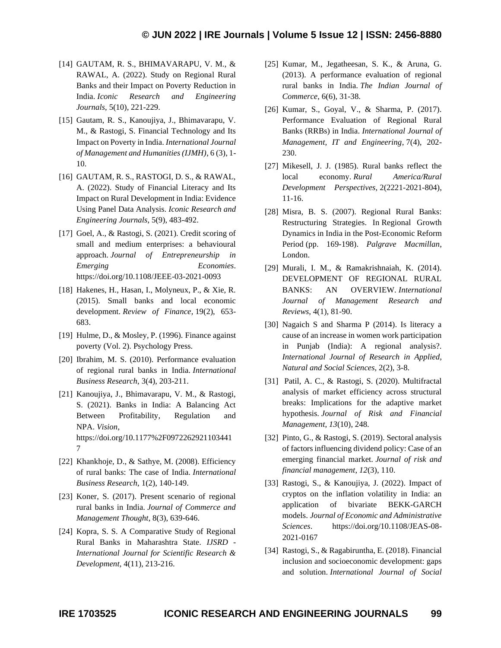- [14] GAUTAM, R. S., BHIMAVARAPU, V. M., & RAWAL, A. (2022). Study on Regional Rural Banks and their Impact on Poverty Reduction in India. *Iconic Research and Engineering Journals*, 5(10), 221-229.
- [15] Gautam, R. S., Kanoujiya, J., Bhimavarapu, V. M., & Rastogi, S. Financial Technology and Its Impact on Poverty in India. *International Journal of Management and Humanities (IJMH)*, 6 (3), 1- 10.
- [16] GAUTAM, R. S., RASTOGI, D. S., & RAWAL, A. (2022). Study of Financial Literacy and Its Impact on Rural Development in India: Evidence Using Panel Data Analysis. *Iconic Research and Engineering Journals*, 5(9), 483-492.
- [17] Goel, A., & Rastogi, S. (2021). Credit scoring of small and medium enterprises: a behavioural approach. *Journal of Entrepreneurship in Emerging Economies*. https://doi.org/10.1108/JEEE-03-2021-0093
- [18] Hakenes, H., Hasan, I., Molyneux, P., & Xie, R. (2015). Small banks and local economic development. *Review of Finance*, 19(2), 653- 683.
- [19] Hulme, D., & Mosley, P. (1996). Finance against poverty (Vol. 2). Psychology Press.
- [20] Ibrahim, M. S. (2010). Performance evaluation of regional rural banks in India. *International Business Research*, 3(4), 203-211.
- [21] Kanoujiya, J., Bhimavarapu, V. M., & Rastogi, S. (2021). Banks in India: A Balancing Act Between Profitability, Regulation and NPA. *Vision*, https://doi.org/10.1177%2F0972262921103441 7
- [22] Khankhoje, D., & Sathye, M. (2008). Efficiency of rural banks: The case of India. *International Business Research*, 1(2), 140-149.
- [23] Koner, S. (2017). Present scenario of regional rural banks in India. *Journal of Commerce and Management Thought*, 8(3), 639-646.
- [24] Kopra, S. S. A Comparative Study of Regional Rural Banks in Maharashtra State. *IJSRD - International Journal for Scientific Research & Development*, 4(11), 213-216.
- [25] Kumar, M., Jegatheesan, S. K., & Aruna, G. (2013). A performance evaluation of regional rural banks in India. *The Indian Journal of Commerce*, 6(6), 31-38.
- [26] Kumar, S., Goyal, V., & Sharma, P. (2017). Performance Evaluation of Regional Rural Banks (RRBs) in India. *International Journal of Management, IT and Engineering*, 7(4), 202- 230.
- [27] Mikesell, J. J. (1985). Rural banks reflect the local economy. *Rural America/Rural Development Perspectives*, 2(2221-2021-804), 11-16.
- [28] Misra, B. S. (2007). Regional Rural Banks: Restructuring Strategies. In Regional Growth Dynamics in India in the Post-Economic Reform Period (pp. 169-198). *Palgrave Macmillan*, London.
- [29] Murali, I. M., & Ramakrishnaiah, K. (2014). DEVELOPMENT OF REGIONAL RURAL BANKS: AN OVERVIEW. *International Journal of Management Research and Reviews*, 4(1), 81-90.
- [30] Nagaich S and Sharma P (2014). Is literacy a cause of an increase in women work participation in Punjab (India): A regional analysis?. *International Journal of Research in Applied, Natural and Social Sciences,* 2(2), 3-8.
- [31] Patil, A. C., & Rastogi, S. (2020). Multifractal analysis of market efficiency across structural breaks: Implications for the adaptive market hypothesis. *Journal of Risk and Financial Management*, *13*(10), 248.
- [32] Pinto, G., & Rastogi, S. (2019). Sectoral analysis of factors influencing dividend policy: Case of an emerging financial market. *Journal of risk and financial management*, *12*(3), 110.
- [33] Rastogi, S., & Kanoujiya, J. (2022). Impact of cryptos on the inflation volatility in India: an application of bivariate BEKK-GARCH models. *Journal of Economic and Administrative Sciences*. https://doi.org/10.1108/JEAS-08- 2021-0167
- [34] Rastogi, S., & Ragabiruntha, E. (2018). Financial inclusion and socioeconomic development: gaps and solution. *International Journal of Social*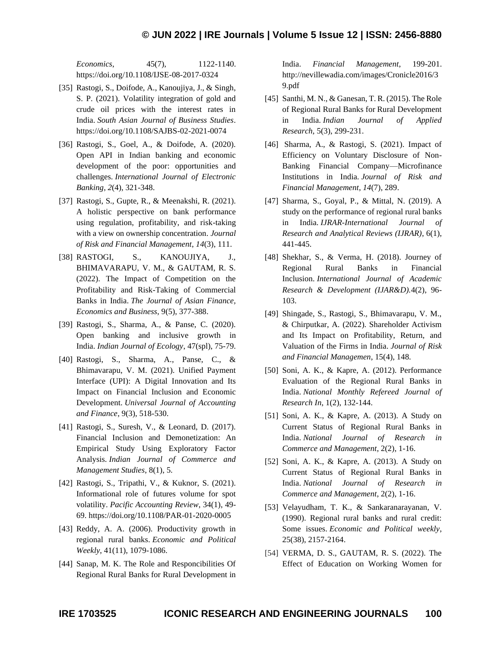*Economics*, 45(7), 1122-1140. https://doi.org/10.1108/IJSE-08-2017-0324

- [35] Rastogi, S., Doifode, A., Kanoujiya, J., & Singh, S. P. (2021). Volatility integration of gold and crude oil prices with the interest rates in India. *South Asian Journal of Business Studies*. https://doi.org/10.1108/SAJBS-02-2021-0074
- [36] Rastogi, S., Goel, A., & Doifode, A. (2020). Open API in Indian banking and economic development of the poor: opportunities and challenges. *International Journal of Electronic Banking*, *2*(4), 321-348.
- [37] Rastogi, S., Gupte, R., & Meenakshi, R. (2021). A holistic perspective on bank performance using regulation, profitability, and risk-taking with a view on ownership concentration. *Journal of Risk and Financial Management*, *14*(3), 111.
- [38] RASTOGI, S., KANOUJIYA, J., BHIMAVARAPU, V. M., & GAUTAM, R. S. (2022). The Impact of Competition on the Profitability and Risk-Taking of Commercial Banks in India. *The Journal of Asian Finance, Economics and Business*, 9(5), 377-388.
- [39] Rastogi, S., Sharma, A., & Panse, C. (2020). Open banking and inclusive growth in India. *Indian Journal of Ecology*, 47(spl), 75-79.
- [40] Rastogi, S., Sharma, A., Panse, C., & Bhimavarapu, V. M. (2021). Unified Payment Interface (UPI): A Digital Innovation and Its Impact on Financial Inclusion and Economic Development. *Universal Journal of Accounting and Finance*, 9(3), 518-530.
- [41] Rastogi, S., Suresh, V., & Leonard, D. (2017). Financial Inclusion and Demonetization: An Empirical Study Using Exploratory Factor Analysis. *Indian Journal of Commerce and Management Studies*, 8(1), 5.
- [42] Rastogi, S., Tripathi, V., & Kuknor, S. (2021). Informational role of futures volume for spot volatility. *Pacific Accounting Review*, 34(1), 49- 69. https://doi.org/10.1108/PAR-01-2020-0005
- [43] Reddy, A. A. (2006). Productivity growth in regional rural banks. *Economic and Political Weekly*, 41(11), 1079-1086.
- [44] Sanap, M. K. The Role and Responcibilities Of Regional Rural Banks for Rural Development in

India. *Financial Management*, 199-201. [http://nevillewadia.com/images/Cronicle2016/3](http://nevillewadia.com/images/Cronicle2016/39.pdf) [9.pdf](http://nevillewadia.com/images/Cronicle2016/39.pdf)

- [45] Santhi, M. N., & Ganesan, T. R. (2015). The Role of Regional Rural Banks for Rural Development in India. *Indian Journal of Applied Research*, 5(3), 299-231.
- [46] Sharma, A., & Rastogi, S. (2021). Impact of Efficiency on Voluntary Disclosure of Non-Banking Financial Company—Microfinance Institutions in India. *Journal of Risk and Financial Management*, *14*(7), 289.
- [47] Sharma, S., Goyal, P., & Mittal, N. (2019). A study on the performance of regional rural banks in India. *IJRAR-International Journal of Research and Analytical Reviews (IJRAR)*, 6(1), 441-445.
- [48] Shekhar, S., & Verma, H. (2018). Journey of Regional Rural Banks in Financial Inclusion. *International Journal of Academic Research & Development (IJAR&D).*4(2), 96- 103.
- [49] Shingade, S., Rastogi, S., Bhimavarapu, V. M., & Chirputkar, A. (2022). Shareholder Activism and Its Impact on Profitability, Return, and Valuation of the Firms in India. *Journal of Risk and Financial Managemen*, 15(4), 148.
- [50] Soni, A. K., & Kapre, A. (2012). Performance Evaluation of the Regional Rural Banks in India. *National Monthly Refereed Journal of Research In*, 1(2), 132-144.
- [51] Soni, A. K., & Kapre, A. (2013). A Study on Current Status of Regional Rural Banks in India. *National Journal of Research in Commerce and Management*, 2(2), 1-16.
- [52] Soni, A. K., & Kapre, A. (2013). A Study on Current Status of Regional Rural Banks in India. *National Journal of Research in Commerce and Management*, 2(2), 1-16.
- [53] Velayudham, T. K., & Sankaranarayanan, V. (1990). Regional rural banks and rural credit: Some issues. *Economic and Political weekly*, 25(38), 2157-2164.
- [54] VERMA, D. S., GAUTAM, R. S. (2022). The Effect of Education on Working Women for